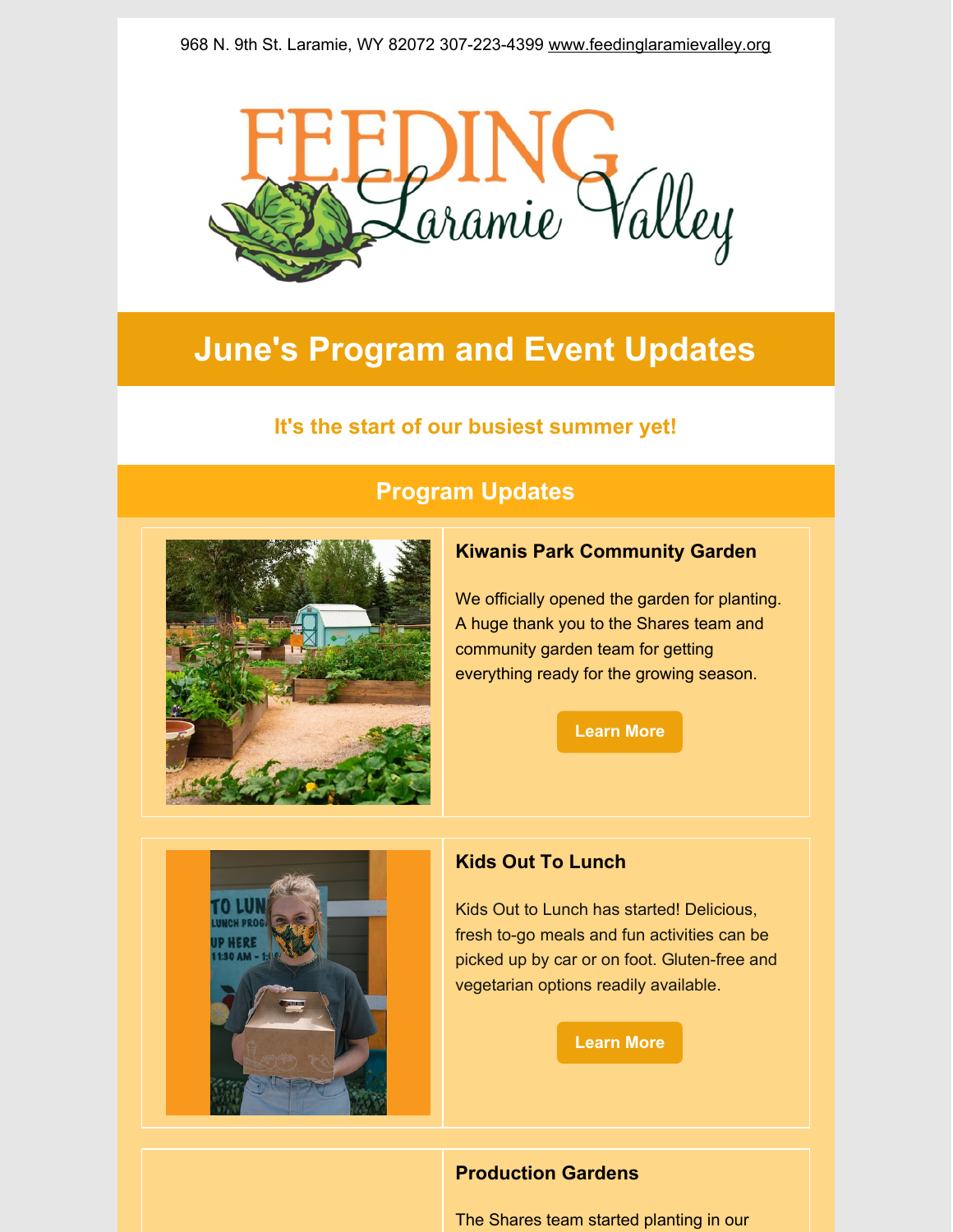

# **June's Program and Event Updates**

# **It's the start of our busiest summer yet!**



# **Program Updates**

# **Kiwanis Park Community Garden**

We officially opened the garden for planting. A huge thank you to the Shares team and community garden team for getting everything ready for the growing season.

**[Learn](https://www.feedinglaramievalley.org/kiwanisparkcommunitygarden) More**



# **Kids Out To Lunch**

Kids Out to Lunch has started! Delicious, fresh to-go meals and fun activities can be picked up by car or on foot. Gluten-free and vegetarian options readily available.

**[Learn](https://www.feedinglaramievalley.org/kids-out-to-lunch) More**

# **Production Gardens**

The Shares team started planting in our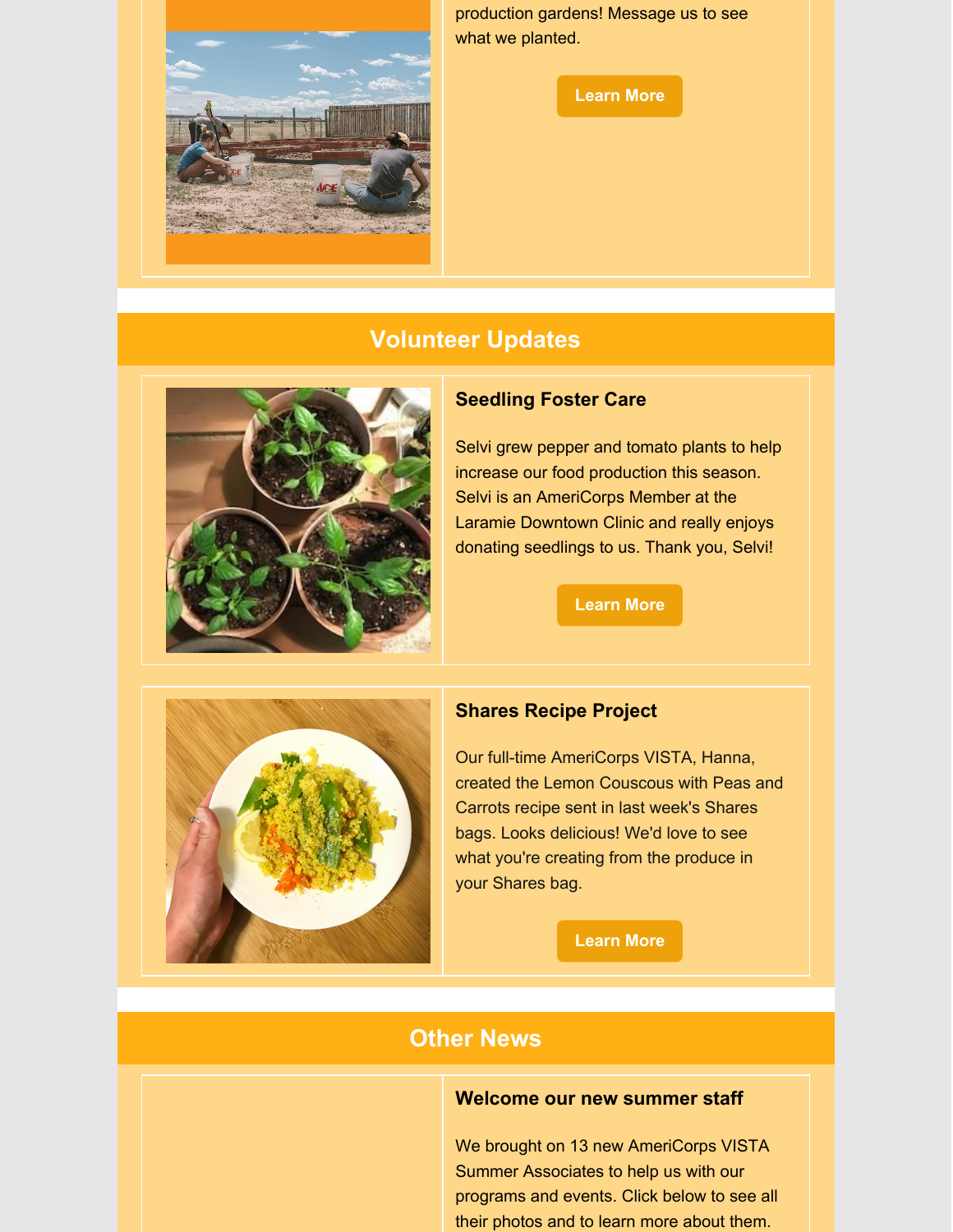

production gardens! Message us to see what we planted.

**[Learn](https://www.feedinglaramievalley.org/community-gardens) More**

# **Volunteer Updates**



## **Seedling Foster Care**

Selvi grew pepper and tomato plants to help increase our food production this season. Selvi is an AmeriCorps Member at the Laramie Downtown Clinic and really enjoys donating seedlings to us. Thank you, Selvi!

#### **[Learn](https://www.feedinglaramievalley.org/seedlingfostercare) More**



# **Shares Recipe Project**

Our full-time AmeriCorps VISTA, Hanna, created the Lemon Couscous with Peas and Carrots recipe sent in last week's Shares bags. Looks delicious! We'd love to see what you're creating from the produce in your Shares bag.

**[Learn](https://www.feedinglaramievalley.org/sharesrecipeproject) More**

# **Other News**

### **Welcome our new summer staff**

We brought on 13 new AmeriCorps VISTA Summer Associates to help us with our programs and events. Click below to see all their photos and to learn more about them.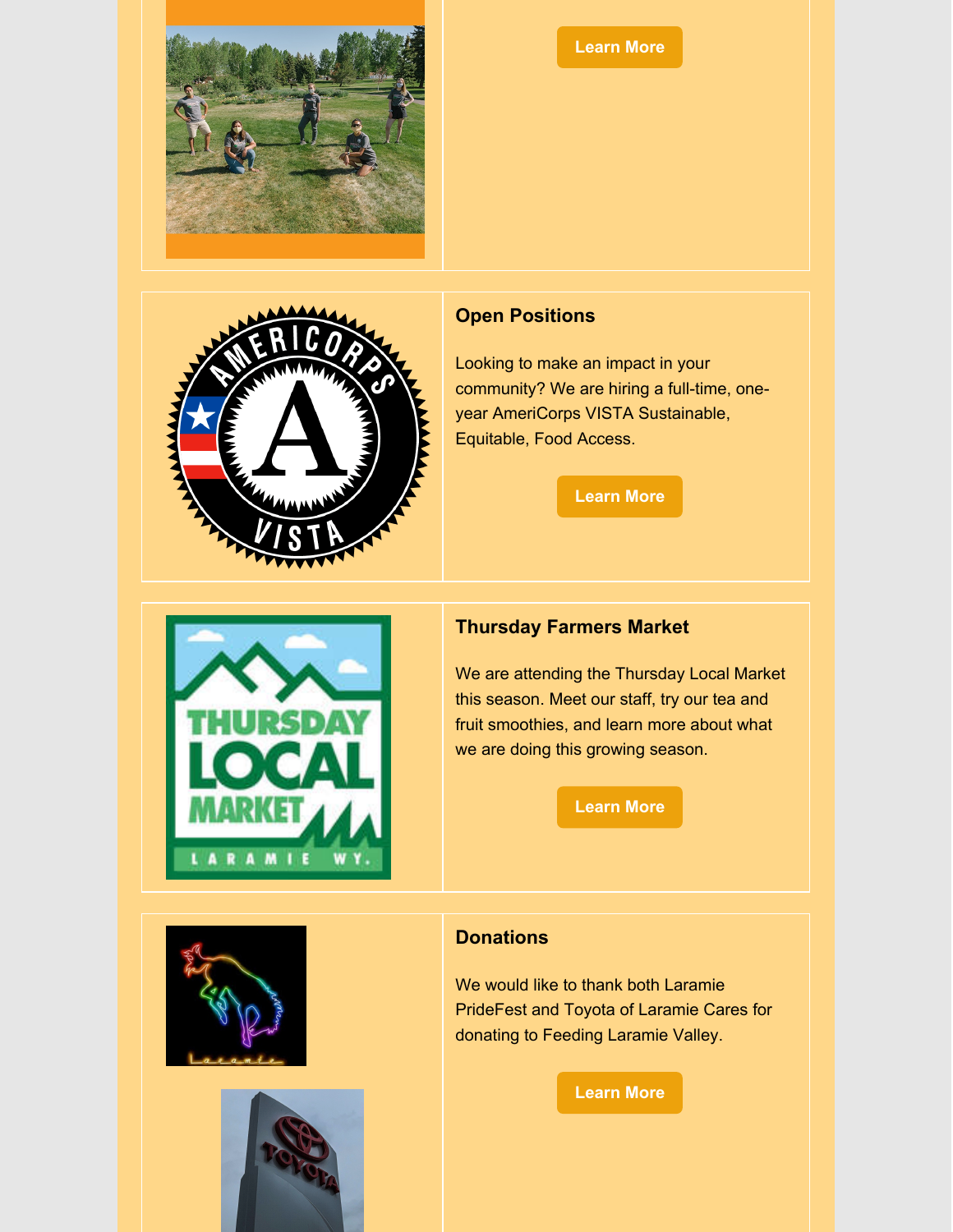

### **[Learn](https://www.feedinglaramievalley.org/team) More**



# **Open Positions**

Looking to make an impact in your community? We are hiring a full-time, oneyear AmeriCorps VISTA Sustainable, Equitable, Food Access.

**[Learn](https://www.feedinglaramievalley.org/jobsandinternships) More**



# **Thursday Farmers Market**

We are attending the Thursday Local Market this season. Meet our staff, try our tea and fruit smoothies, and learn more about what we are doing this growing season.

**[Learn](https://www.thursdaylocalmarket.com/) More**





# **Donations**

We would like to thank both Laramie PrideFest and Toyota of Laramie Cares for donating to Feeding Laramie Valley.

**[Learn](https://www.feedinglaramievalley.org/) More**